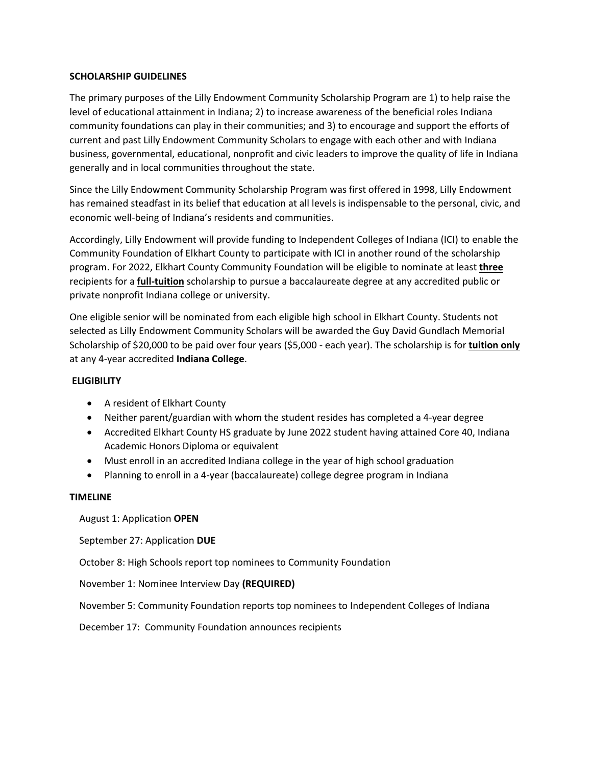### **SCHOLARSHIP GUIDELINES**

The primary purposes of the Lilly Endowment Community Scholarship Program are 1) to help raise the level of educational attainment in Indiana; 2) to increase awareness of the beneficial roles Indiana community foundations can play in their communities; and 3) to encourage and support the efforts of current and past Lilly Endowment Community Scholars to engage with each other and with Indiana business, governmental, educational, nonprofit and civic leaders to improve the quality of life in Indiana generally and in local communities throughout the state.

Since the Lilly Endowment Community Scholarship Program was first offered in 1998, Lilly Endowment has remained steadfast in its belief that education at all levels is indispensable to the personal, civic, and economic well-being of Indiana's residents and communities.

Accordingly, Lilly Endowment will provide funding to Independent Colleges of Indiana (ICI) to enable the Community Foundation of Elkhart County to participate with ICI in another round of the scholarship program. For 2022, Elkhart County Community Foundation will be eligible to nominate at least **three**  recipients for a **full-tuition** scholarship to pursue a baccalaureate degree at any accredited public or private nonprofit Indiana college or university.

One eligible senior will be nominated from each eligible high school in Elkhart County. Students not selected as Lilly Endowment Community Scholars will be awarded the Guy David Gundlach Memorial Scholarship of \$20,000 to be paid over four years (\$5,000 - each year). The scholarship is for **tuition only** at any 4-year accredited **Indiana College**.

### **ELIGIBILITY**

- A resident of Elkhart County
- Neither parent/guardian with whom the student resides has completed a 4-year degree
- Accredited Elkhart County HS graduate by June 2022 student having attained Core 40, Indiana Academic Honors Diploma or equivalent
- Must enroll in an accredited Indiana college in the year of high school graduation
- Planning to enroll in a 4-year (baccalaureate) college degree program in Indiana

#### **TIMELINE**

August 1: Application **OPEN**

September 27: Application **DUE**

October 8: High Schools report top nominees to Community Foundation

November 1: Nominee Interview Day **(REQUIRED)**

November 5: Community Foundation reports top nominees to Independent Colleges of Indiana

December 17: Community Foundation announces recipients